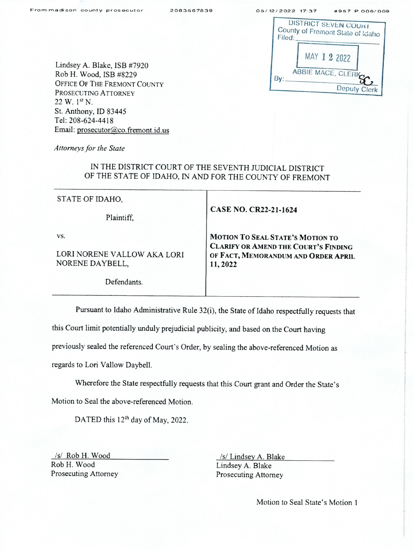| Filed: | <b>DISTRICT SEVEN COURT</b><br>County of Fremont State of Idaho |
|--------|-----------------------------------------------------------------|
|        | MAY 1 2 2022                                                    |
|        | ABBIE MACE, CLERKY<br>Deputy Clerk                              |

Lindsey A. Blake, ISB #7920 Rob H. Wood, ISB #8229 OFFICE OF THE FREMONT COUNTY PROSECUTING ATTORNEY  $22 W. 1<sup>st</sup> N.$ St. Anthony, ID 83445 Tel: 208-624-4418 Email: prosecutor@co.fremont.id.us

Attorneys for the State

## IN THE DISTRICT COURT OF THE SEVENTH JUDICIAL DISTRICT OF THE STATE OF IDAHO, IN AND FOR THE COUNTY OF FREMONT

| STATE OF IDAHO,                                       |                                                                                                                                   |  |
|-------------------------------------------------------|-----------------------------------------------------------------------------------------------------------------------------------|--|
| Plaintiff,                                            | <b>CASE NO. CR22-21-1624</b>                                                                                                      |  |
| VS.<br>LORI NORENE VALLOW AKA LORI<br>NORENE DAYBELL, | MOTION TO SEAL STATE'S MOTION TO<br><b>CLARIFY OR AMEND THE COURT'S FINDING</b><br>OF FACT, MEMORANDUM AND ORDER APRIL<br>11,2022 |  |
| Defendants                                            |                                                                                                                                   |  |

Pursuant to Idaho Administrative Rule 32(i), the State of Idaho respectfully requests that

this Court limit potentially unduly prejudicial publicity, and based on the Court having

previously sealed the referenced Court's Order, by sealing the above-referenced Motion as

regards to Lori Vallow Daybell.

Wherefore the State respectfiilly requests that this Court grant and Order the State's

Motion to Seal the above-referenced Motion.

DATED this 12<sup>th</sup> day of May, 2022.

/s/ Rob H. Wood /s/ Lindsey A. Blake /s/ Lindsey A. Blake /s/ Lindsey A. Blake Rob H. Wood Lindsey A. Blake<br>Prosecuting Attorney Prosecuting Attorney

Prosecuting Attorney

Motion to Seal State's Motion 1